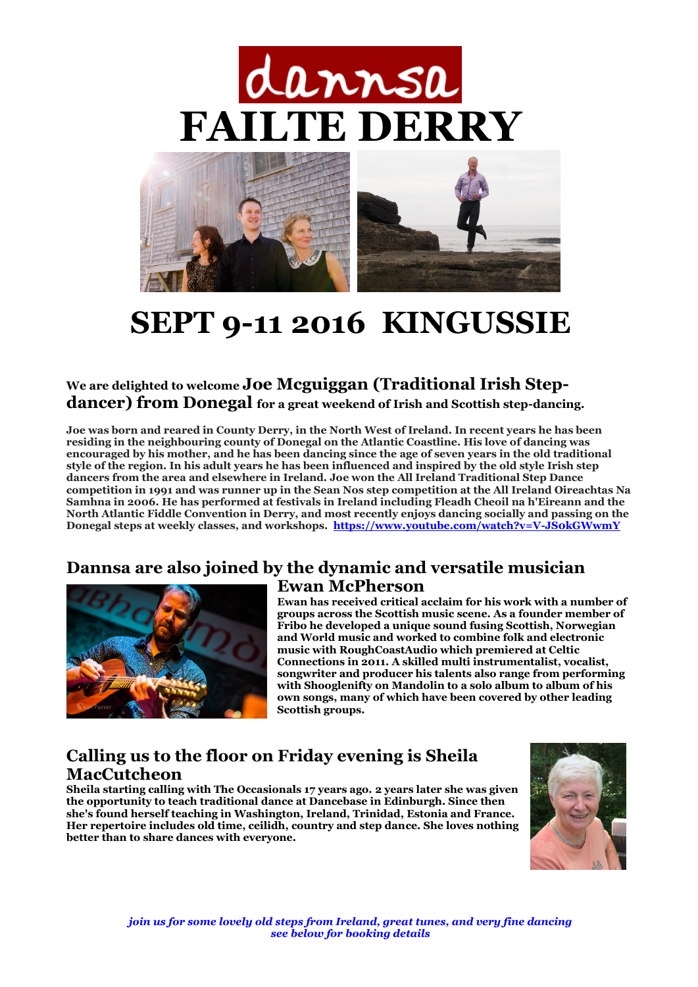



# **SEPT 9-11 2016 KINGUSSIE**

#### **We are delighted to welcome Joe Mcguiggan (Traditional Irish Stepdancer) from Donegal for a great weekend of Irish and Scottish step-dancing.**

**Joe was born and reared in County Derry, in the North West of Ireland. In recent years he has been residing in the neighbouring county of Donegal on the Atlantic Coastline. His love of dancing was encouraged by his mother, and he has been dancing since the age of seven years in the old traditional style of the region. In his adult years he has been influenced and inspired by the old style Irish step dancers from the area and elsewhere in Ireland. Joe won the All Ireland Traditional Step Dance competition in 1991 and was runner up in the Sean Nos step competition at the All Ireland Oireachtas Na Samhna in 2006. He has performed at festivals in Ireland including Fleadh Cheoil na h'Eireann and the North Atlantic Fiddle Convention in Derry, and most recently enjoys dancing socially and passing on the Donegal steps at weekly classes, and workshops.<https://www.youtube.com/watch?v=V-JS0kGWwmY>**

## **Dannsa are also joined by the dynamic and versatile musician**



## **Ewan McPherson**

**Ewan has received critical acclaim for his work with a number of groups across the Scottish music scene. As a founder member of Fribo he developed a unique sound fusing Scottish, Norwegian and World music and worked to combine folk and electronic music with RoughCoastAudio which premiered at Celtic Connections in 2011. A skilled multi instrumentalist, vocalist, songwriter and producer his talents also range from performing with Shooglenifty on Mandolin to a solo album to album of his own songs, many of which have been covered by other leading Scottish groups.**

#### **Calling us to the floor on Friday evening is Sheila MacCutcheon**

**Sheila starting calling with The Occasionals 17 years ago. 2 years later she was given the opportunity to teach traditional dance at Dancebase in Edinburgh. Since then she's found herself teaching in Washington, Ireland, Trinidad, Estonia and France. Her repertoire includes old time, ceilidh, country and step dance. She loves nothing better than to share dances with everyone.**

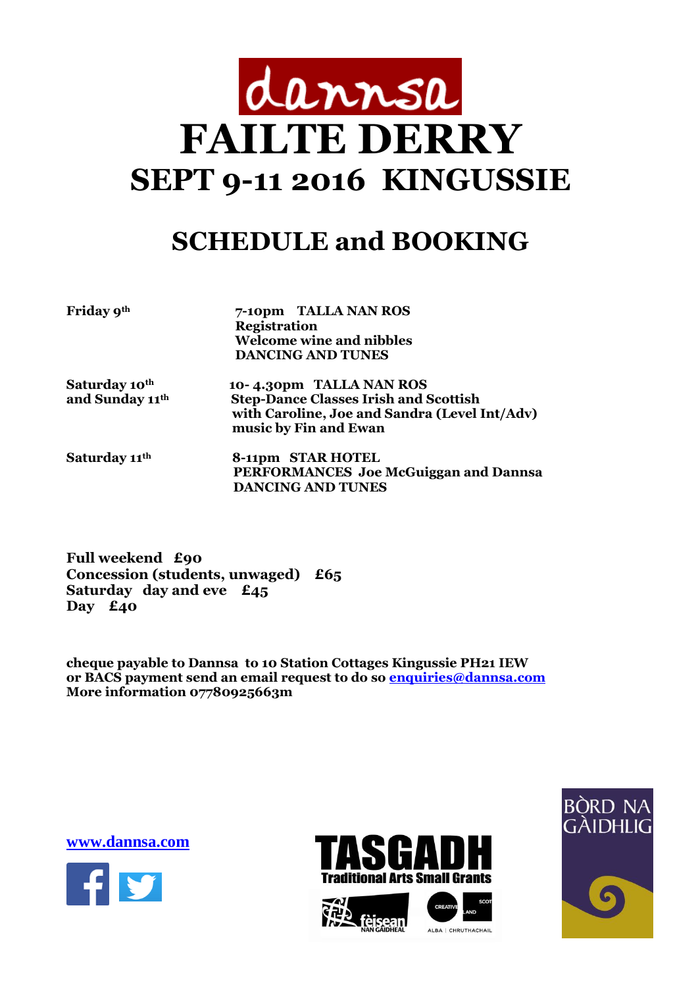

# **SCHEDULE and BOOKING**

**Friday 9th 7-10pm TALLA NAN ROS Registration Welcome wine and nibbles DANCING AND TUNES** 

**Saturday 10th 10- 4.30pm TALLA NAN ROS and Sunday 11th Step-Dance Classes Irish and Scottish with Caroline, Joe and Sandra (Level Int/Adv) music by Fin and Ewan** 

**Saturday 11th 8-11pm STAR HOTEL PERFORMANCES Joe McGuiggan and Dannsa DANCING AND TUNES**

**Full weekend £90 Concession (students, unwaged) £65 Saturday day and eve £45 Day £40**

**cheque payable to Dannsa to 10 Station Cottages Kingussie PH21 IEW or BACS payment send an email request to do so [enquiries@dannsa.com](mailto:enquiries@dannsa.com) More information 07780925663m**

**[www.dannsa.com](http://www.dannsa.com/)**